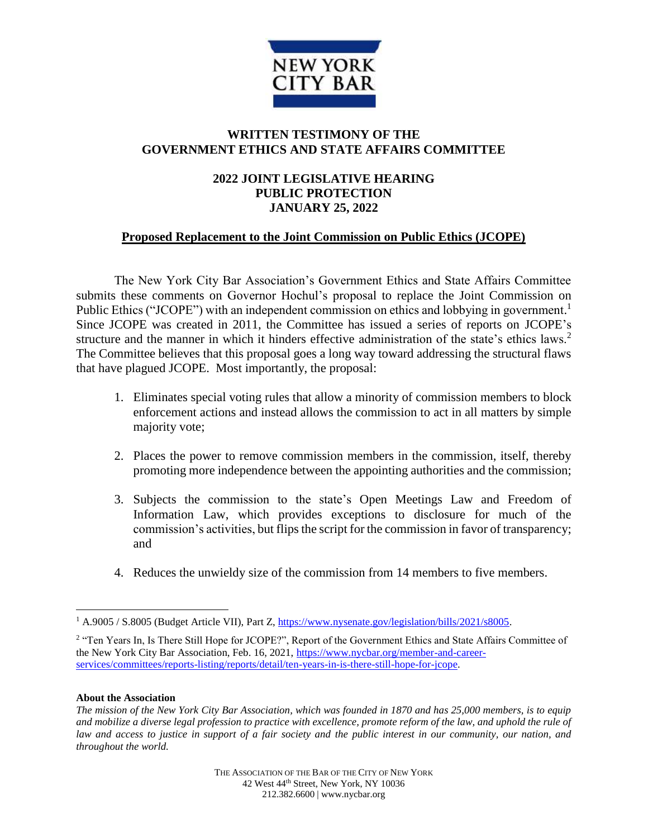

## **WRITTEN TESTIMONY OF THE GOVERNMENT ETHICS AND STATE AFFAIRS COMMITTEE**

## **2022 JOINT LEGISLATIVE HEARING PUBLIC PROTECTION JANUARY 25, 2022**

## **Proposed Replacement to the Joint Commission on Public Ethics (JCOPE)**

The New York City Bar Association's Government Ethics and State Affairs Committee submits these comments on Governor Hochul's proposal to replace the Joint Commission on Public Ethics ("JCOPE") with an independent commission on ethics and lobbying in government.<sup>1</sup> Since JCOPE was created in 2011, the Committee has issued a series of reports on JCOPE's structure and the manner in which it hinders effective administration of the state's ethics laws.<sup>2</sup> The Committee believes that this proposal goes a long way toward addressing the structural flaws that have plagued JCOPE. Most importantly, the proposal:

- 1. Eliminates special voting rules that allow a minority of commission members to block enforcement actions and instead allows the commission to act in all matters by simple majority vote;
- 2. Places the power to remove commission members in the commission, itself, thereby promoting more independence between the appointing authorities and the commission;
- 3. Subjects the commission to the state's Open Meetings Law and Freedom of Information Law, which provides exceptions to disclosure for much of the commission's activities, but flips the script for the commission in favor of transparency; and
- 4. Reduces the unwieldy size of the commission from 14 members to five members.

## **About the Association**

 $\overline{a}$ 

<sup>1</sup> A.9005 / S.8005 (Budget Article VII), Part Z[, https://www.nysenate.gov/legislation/bills/2021/s8005.](https://www.nysenate.gov/legislation/bills/2021/s8005)

<sup>&</sup>lt;sup>2</sup> "Ten Years In, Is There Still Hope for JCOPE?", Report of the Government Ethics and State Affairs Committee of the New York City Bar Association, Feb. 16, 2021, [https://www.nycbar.org/member-and-career](https://www.nycbar.org/member-and-career-services/committees/reports-listing/reports/detail/ten-years-in-is-there-still-hope-for-jcope)[services/committees/reports-listing/reports/detail/ten-years-in-is-there-still-hope-for-jcope.](https://www.nycbar.org/member-and-career-services/committees/reports-listing/reports/detail/ten-years-in-is-there-still-hope-for-jcope)

*The mission of the New York City Bar Association, which was founded in 1870 and has 25,000 members, is to equip and mobilize a diverse legal profession to practice with excellence, promote reform of the law, and uphold the rule of law and access to justice in support of a fair society and the public interest in our community, our nation, and throughout the world.*